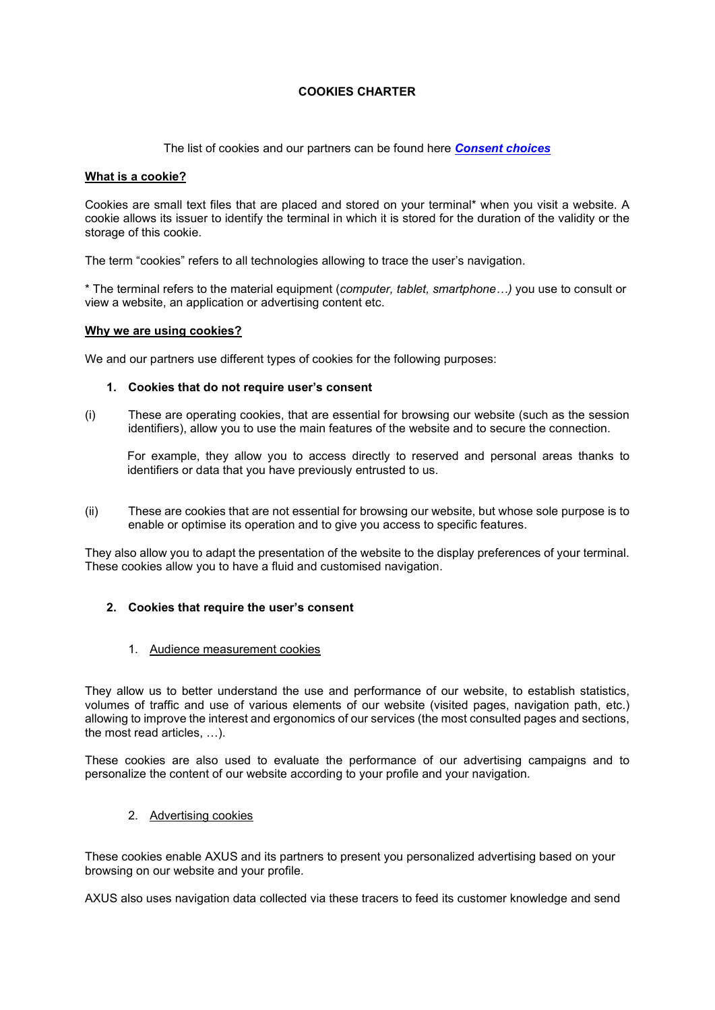## **COOKIES CHARTER**

The list of cookies and our partners can be found here *[Consent choices](javascript:Didomi.preferences.show())*

#### **What is a cookie?**

Cookies are small text files that are placed and stored on your terminal\* when you visit a website. A cookie allows its issuer to identify the terminal in which it is stored for the duration of the validity or the storage of this cookie.

The term "cookies" refers to all technologies allowing to trace the user's navigation.

\* The terminal refers to the material equipment (*computer, tablet, smartphone…)* you use to consult or view a website, an application or advertising content etc.

### **Why we are using cookies?**

We and our partners use different types of cookies for the following purposes:

#### **1. Cookies that do not require user's consent**

(i) These are operating cookies, that are essential for browsing our website (such as the session identifiers), allow you to use the main features of the website and to secure the connection.

For example, they allow you to access directly to reserved and personal areas thanks to identifiers or data that you have previously entrusted to us.

(ii) These are cookies that are not essential for browsing our website, but whose sole purpose is to enable or optimise its operation and to give you access to specific features.

They also allow you to adapt the presentation of the website to the display preferences of your terminal. These cookies allow you to have a fluid and customised navigation.

## **2. Cookies that require the user's consent**

1. Audience measurement cookies

They allow us to better understand the use and performance of our website, to establish statistics, volumes of traffic and use of various elements of our website (visited pages, navigation path, etc.) allowing to improve the interest and ergonomics of our services (the most consulted pages and sections, the most read articles, …).

These cookies are also used to evaluate the performance of our advertising campaigns and to personalize the content of our website according to your profile and your navigation.

2. Advertising cookies

These cookies enable AXUS and its partners to present you personalized advertising based on your browsing on our website and your profile.

AXUS also uses navigation data collected via these tracers to feed its customer knowledge and send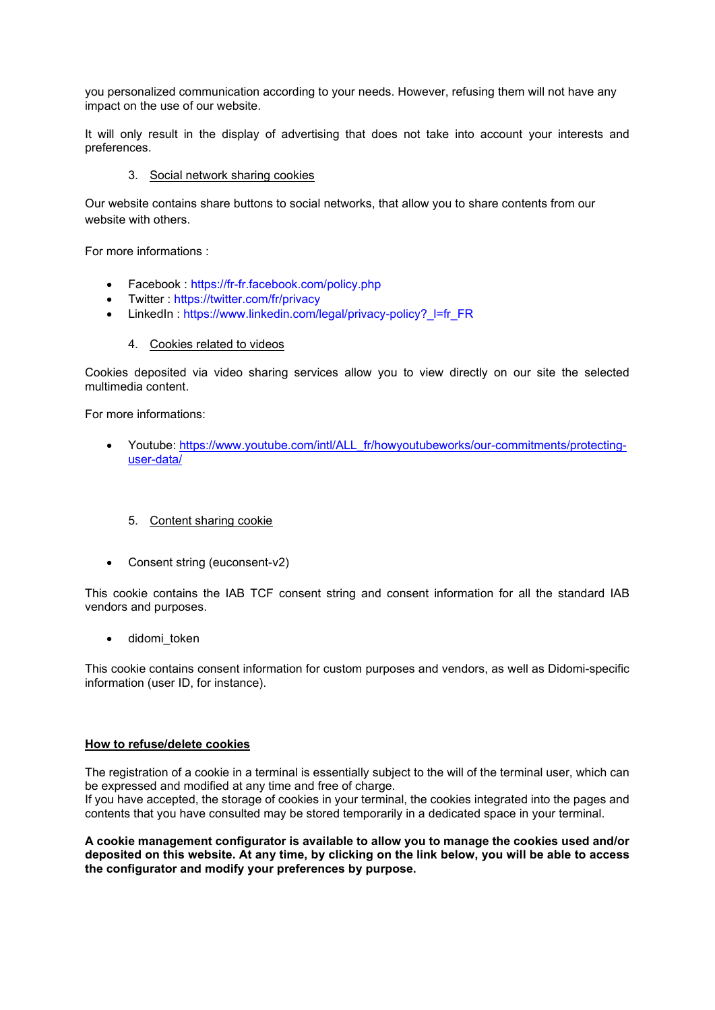you personalized communication according to your needs. However, refusing them will not have any impact on the use of our website.

It will only result in the display of advertising that does not take into account your interests and preferences.

### 3. Social network sharing cookies

Our website contains share buttons to social networks, that allow you to share contents from our website with others.

For more informations :

- Facebook : <https://fr-fr.facebook.com/policy.php>
- Twitter : <https://twitter.com/fr/privacy>
- LinkedIn: https://www.linkedin.com/legal/privacy-policy? l=fr\_FR
	- 4. Cookies related to videos

Cookies deposited via video sharing services allow you to view directly on our site the selected multimedia content.

For more informations:

- Youtube: [https://www.youtube.com/intl/ALL\\_fr/howyoutubeworks/our-commitments/protecting](https://www.youtube.com/intl/ALL_fr/howyoutubeworks/our-commitments/protecting-user-data/)[user-data/](https://www.youtube.com/intl/ALL_fr/howyoutubeworks/our-commitments/protecting-user-data/)
	- 5. Content sharing cookie
- Consent string (euconsent-v2)

This cookie contains the IAB TCF consent string and consent information for all the standard IAB vendors and purposes.

• didomi\_token

This cookie contains consent information for custom purposes and vendors, as well as Didomi-specific information (user ID, for instance).

#### **How to refuse/delete cookies**

The registration of a cookie in a terminal is essentially subject to the will of the terminal user, which can be expressed and modified at any time and free of charge.

If you have accepted, the storage of cookies in your terminal, the cookies integrated into the pages and contents that you have consulted may be stored temporarily in a dedicated space in your terminal.

**A cookie management configurator is available to allow you to manage the cookies used and/or deposited on this website. At any time, by clicking on the link below, you will be able to access the configurator and modify your preferences by purpose.**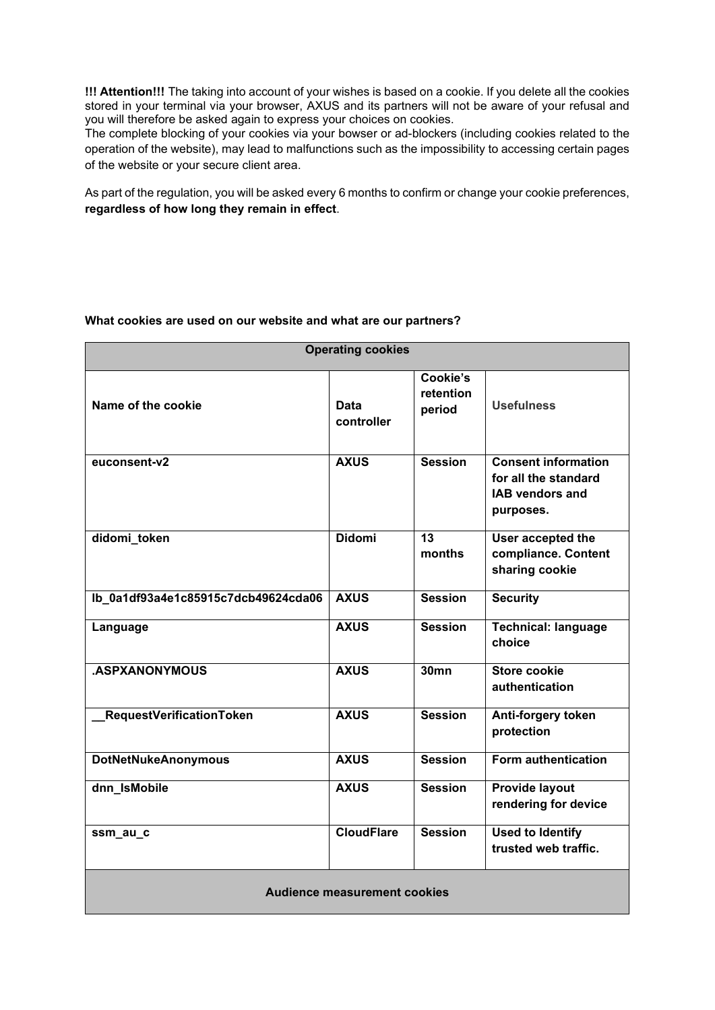**!!! Attention!!!** The taking into account of your wishes is based on a cookie. If you delete all the cookies stored in your terminal via your browser, AXUS and its partners will not be aware of your refusal and you will therefore be asked again to express your choices on cookies.

The complete blocking of your cookies via your bowser or ad-blockers (including cookies related to the operation of the website), may lead to malfunctions such as the impossibility to accessing certain pages of the website or your secure client area.

As part of the regulation, you will be asked every 6 months to confirm or change your cookie preferences, **regardless of how long they remain in effect**.

### **What cookies are used on our website and what are our partners?**

| <b>Operating cookies</b>            |                           |                                 |                                                                                           |  |  |  |
|-------------------------------------|---------------------------|---------------------------------|-------------------------------------------------------------------------------------------|--|--|--|
| Name of the cookie                  | <b>Data</b><br>controller | Cookie's<br>retention<br>period | <b>Usefulness</b>                                                                         |  |  |  |
| euconsent-v2                        | <b>AXUS</b>               | <b>Session</b>                  | <b>Consent information</b><br>for all the standard<br><b>IAB vendors and</b><br>purposes. |  |  |  |
| didomi_token                        | <b>Didomi</b>             | 13<br>months                    | User accepted the<br>compliance. Content<br>sharing cookie                                |  |  |  |
| lb_0a1df93a4e1c85915c7dcb49624cda06 | <b>AXUS</b>               | <b>Session</b>                  | <b>Security</b>                                                                           |  |  |  |
| Language                            | <b>AXUS</b>               | <b>Session</b>                  | <b>Technical: language</b><br>choice                                                      |  |  |  |
| .ASPXANONYMOUS                      | <b>AXUS</b>               | <b>30mn</b>                     | Store cookie<br>authentication                                                            |  |  |  |
| RequestVerificationToken            | <b>AXUS</b>               | <b>Session</b>                  | Anti-forgery token<br>protection                                                          |  |  |  |
| <b>DotNetNukeAnonymous</b>          | <b>AXUS</b>               | <b>Session</b>                  | Form authentication                                                                       |  |  |  |
| dnn_IsMobile                        | <b>AXUS</b>               | <b>Session</b>                  | Provide layout<br>rendering for device                                                    |  |  |  |
| ssm_au_c                            | <b>CloudFlare</b>         | <b>Session</b>                  | <b>Used to Identify</b><br>trusted web traffic.                                           |  |  |  |
| <b>Audience measurement cookies</b> |                           |                                 |                                                                                           |  |  |  |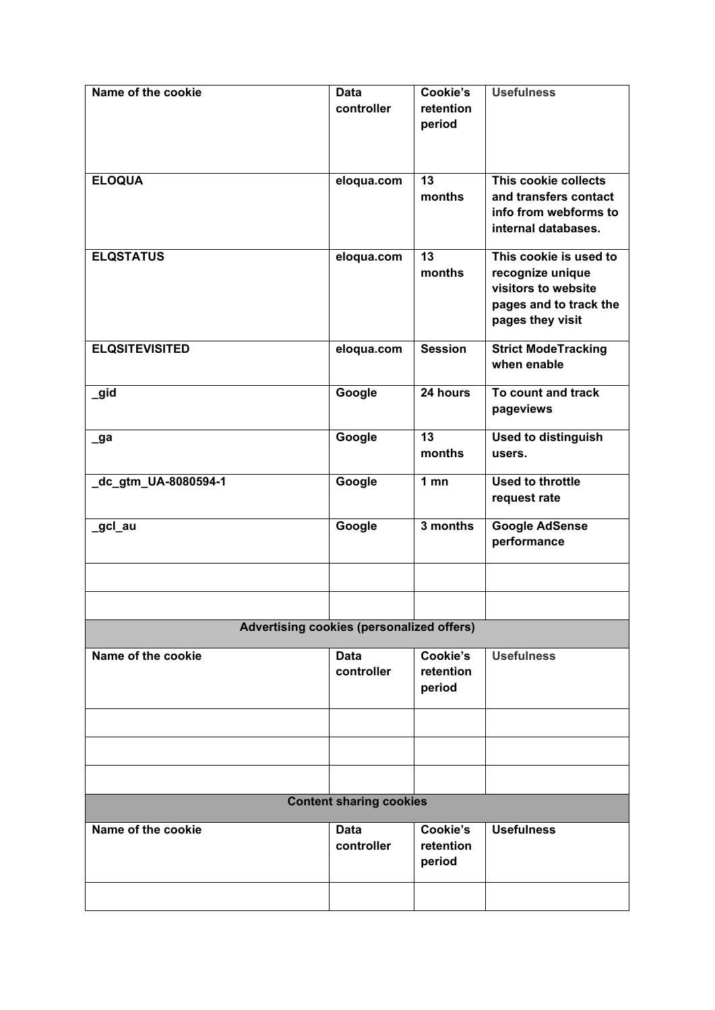| Name of the cookie                               | <b>Data</b> | Cookie's        | <b>Usefulness</b>          |  |  |
|--------------------------------------------------|-------------|-----------------|----------------------------|--|--|
|                                                  | controller  | retention       |                            |  |  |
|                                                  |             | period          |                            |  |  |
|                                                  |             |                 |                            |  |  |
|                                                  |             |                 |                            |  |  |
|                                                  |             |                 |                            |  |  |
| <b>ELOQUA</b>                                    | eloqua.com  | 13              | This cookie collects       |  |  |
|                                                  |             | months          | and transfers contact      |  |  |
|                                                  |             |                 | info from webforms to      |  |  |
|                                                  |             |                 | internal databases.        |  |  |
|                                                  |             |                 |                            |  |  |
| <b>ELQSTATUS</b>                                 | eloqua.com  | 13              | This cookie is used to     |  |  |
|                                                  |             | months          | recognize unique           |  |  |
|                                                  |             |                 | visitors to website        |  |  |
|                                                  |             |                 | pages and to track the     |  |  |
|                                                  |             |                 |                            |  |  |
|                                                  |             |                 | pages they visit           |  |  |
| <b>ELQSITEVISITED</b>                            | eloqua.com  | <b>Session</b>  | <b>Strict ModeTracking</b> |  |  |
|                                                  |             |                 | when enable                |  |  |
|                                                  |             |                 |                            |  |  |
| _gid                                             | Google      | 24 hours        | To count and track         |  |  |
|                                                  |             |                 |                            |  |  |
|                                                  |             |                 | pageviews                  |  |  |
|                                                  | Google      | 13              | <b>Used to distinguish</b> |  |  |
| $\sqrt{a}$                                       |             | months          |                            |  |  |
|                                                  |             |                 | users.                     |  |  |
| _dc_gtm_UA-8080594-1                             | Google      | 1 <sub>mn</sub> | <b>Used to throttle</b>    |  |  |
|                                                  |             |                 |                            |  |  |
|                                                  |             |                 | request rate               |  |  |
| _gcl_au                                          | Google      | 3 months        | <b>Google AdSense</b>      |  |  |
|                                                  |             |                 | performance                |  |  |
|                                                  |             |                 |                            |  |  |
|                                                  |             |                 |                            |  |  |
|                                                  |             |                 |                            |  |  |
|                                                  |             |                 |                            |  |  |
|                                                  |             |                 |                            |  |  |
| <b>Advertising cookies (personalized offers)</b> |             |                 |                            |  |  |
|                                                  |             |                 |                            |  |  |
| Name of the cookie                               | <b>Data</b> | Cookie's        | <b>Usefulness</b>          |  |  |
|                                                  | controller  | retention       |                            |  |  |
|                                                  |             | period          |                            |  |  |
|                                                  |             |                 |                            |  |  |
|                                                  |             |                 |                            |  |  |
|                                                  |             |                 |                            |  |  |
|                                                  |             |                 |                            |  |  |
|                                                  |             |                 |                            |  |  |
|                                                  |             |                 |                            |  |  |
|                                                  |             |                 |                            |  |  |
| <b>Content sharing cookies</b>                   |             |                 |                            |  |  |
| Name of the cookie                               | <b>Data</b> | Cookie's        | <b>Usefulness</b>          |  |  |
|                                                  | controller  | retention       |                            |  |  |
|                                                  |             | period          |                            |  |  |
|                                                  |             |                 |                            |  |  |
|                                                  |             |                 |                            |  |  |
|                                                  |             |                 |                            |  |  |